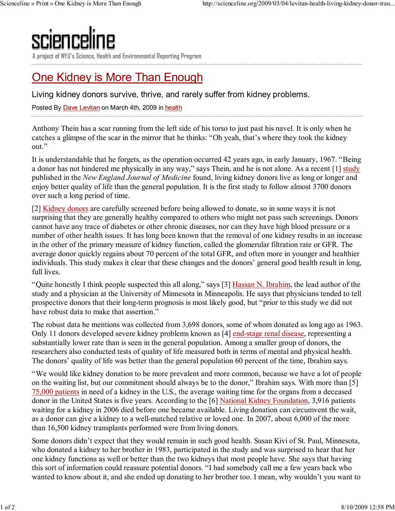

A project of NYU's Science, Health and Environmental Reporting Program

## One Kidney is More Than Enough

Living kidney donors survive, thrive, and rarely suffer from kidney problems.

Posted By Dave Levitan on March 4th, 2009 in health

Anthony Thein has a scar running from the left side of his torso to just past his navel. It is only when he catches a glimpse of the scar in the mirror that he thinks: "Oh yeah, that's where they took the kidney out."

It is understandable that he forgets, as the operation occurred 42 years ago, in early January, 1967. "Being a donor has not hindered me physically in any way," says Thein, and he is not alone. As a recent [1] study published in the New England Journal of Medicine found, living kidney donors live as long or longer and enjoy better quality of life than the general population. It is the first study to follow almost 3700 donors over such a long period of time.

[2] Kidney donors are carefully screened before being allowed to donate, so in some ways it is not surprising that they are generally healthy compared to others who might not pass such screenings. Donors cannot have any trace of diabetes or other chronic diseases, nor can they have high blood pressure or a number of other health issues. It has long been known that the removal of one kidney results in an increase in the other of the primary measure of kidney function, called the glomerular filtration rate or GFR. The average donor quickly regains about 70 percent of the total GFR, and often more in younger and healthier individuals. This study makes it clear that these changes and the donors' general good health result in long, full lives.

"Quite honestly I think people suspected this all along," says [3] Hassan N. Ibrahim, the lead author of the study and a physician at the University of Minnesota in Minneapolis. He says that physicians tended to tell prospective donors that their long-term prognosis is most likely good, but "prior to this study we did not have robust data to make that assertion."

The robust data he mentions was collected from 3,698 donors, some of whom donated as long ago as 1963. Only 11 donors developed severe kidney problems known as [4] end-stage renal disease, representing a substantially lower rate than is seen in the general population. Among a smaller group of donors, the researchers also conducted tests of quality of life measured both in terms of mental and physical health. The donors' quality of life was better than the general population 60 percent of the time, Ibrahim says.

"We would like kidney donation to be more prevalent and more common, because we have a lot of people on the waiting list, but our commitment should always be to the donor," Ibrahim says. With more than [5] 75,000 patients in need of a kidney in the U.S., the average waiting time for the organs from a deceased donor in the United States is five years. According to the [6] National Kidney Foundation, 3,916 patients waiting for a kidney in 2006 died before one became available. Living donation can circumvent the wait, as a donor can give a kidney to a well-matched relative or loved one. In 2007, about 6,000 of the more than 16,500 kidney transplants performed were from living donors.

Some donors didn't expect that they would remain in such good health. Susan Kivi of St. Paul, Minnesota, who donated a kidney to her brother in 1983, participated in the study and was surprised to hear that her one kidney functions as well or better than the two kidneys that most people have. She says that having this sort of information could reassure potential donors. "I had somebody call me a few years back who wanted to know about it, and she ended up donating to her brother too. I mean, why wouldn't you want to